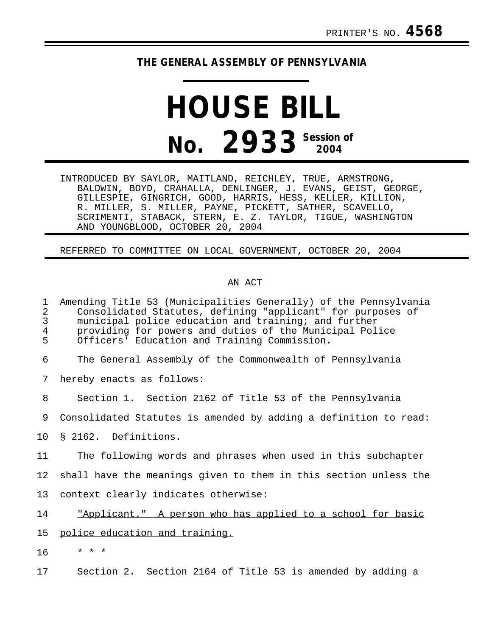## **THE GENERAL ASSEMBLY OF PENNSYLVANIA**

## **HOUSE BILL No. 2933 Session of 2004**

INTRODUCED BY SAYLOR, MAITLAND, REICHLEY, TRUE, ARMSTRONG, BALDWIN, BOYD, CRAHALLA, DENLINGER, J. EVANS, GEIST, GEORGE, GILLESPIE, GINGRICH, GOOD, HARRIS, HESS, KELLER, KILLION, R. MILLER, S. MILLER, PAYNE, PICKETT, SATHER, SCAVELLO, SCRIMENTI, STABACK, STERN, E. Z. TAYLOR, TIGUE, WASHINGTON AND YOUNGBLOOD, OCTOBER 20, 2004

REFERRED TO COMMITTEE ON LOCAL GOVERNMENT, OCTOBER 20, 2004

## AN ACT

| $\mathbf 1$<br>$\overline{2}$<br>$\mathsf{3}$<br>4<br>5 | Amending Title 53 (Municipalities Generally) of the Pennsylvania<br>Consolidated Statutes, defining "applicant" for purposes of<br>municipal police education and training; and further<br>providing for powers and duties of the Municipal Police<br>Officers' Education and Training Commission. |
|---------------------------------------------------------|----------------------------------------------------------------------------------------------------------------------------------------------------------------------------------------------------------------------------------------------------------------------------------------------------|
| 6                                                       | The General Assembly of the Commonwealth of Pennsylvania                                                                                                                                                                                                                                           |
| 7                                                       | hereby enacts as follows:                                                                                                                                                                                                                                                                          |
| 8                                                       | Section 1. Section 2162 of Title 53 of the Pennsylvania                                                                                                                                                                                                                                            |
| 9                                                       | Consolidated Statutes is amended by adding a definition to read:                                                                                                                                                                                                                                   |
| 10 <sub>1</sub>                                         | § 2162. Definitions.                                                                                                                                                                                                                                                                               |
| 11                                                      | The following words and phrases when used in this subchapter                                                                                                                                                                                                                                       |
| 12                                                      | shall have the meanings given to them in this section unless the                                                                                                                                                                                                                                   |
| 13                                                      | context clearly indicates otherwise:                                                                                                                                                                                                                                                               |
| 14                                                      | "Applicant." A person who has applied to a school for basic                                                                                                                                                                                                                                        |
| 15                                                      | police education and training.                                                                                                                                                                                                                                                                     |
| 16                                                      | $\star$ $\star$ $\star$                                                                                                                                                                                                                                                                            |
| 17                                                      | Section 2. Section 2164 of Title 53 is amended by adding a                                                                                                                                                                                                                                         |
|                                                         |                                                                                                                                                                                                                                                                                                    |